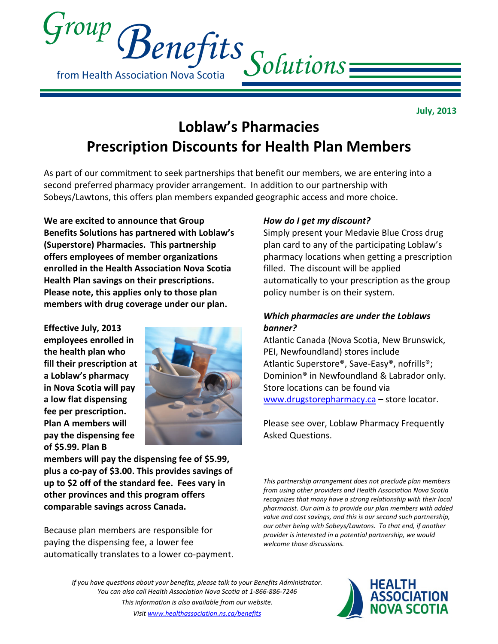

July, 2013

# Loblaw's Pharmacies Prescription Discounts for Health Plan Members

As part of our commitment to seek partnerships that benefit our members, we are entering into a second preferred pharmacy provider arrangement. In addition to our partnership with Sobeys/Lawtons, this offers plan members expanded geographic access and more choice.

We are excited to announce that Group Benefits Solutions has partnered with Loblaw's (Superstore) Pharmacies. This partnership offers employees of member organizations enrolled in the Health Association Nova Scotia Health Plan savings on their prescriptions. Please note, this applies only to those plan members with drug coverage under our plan.

Effective July, 2013 employees enrolled in the health plan who fill their prescription at a Loblaw's pharmacy in Nova Scotia will pay a low flat dispensing fee per prescription. Plan A members will pay the dispensing fee of \$5.99. Plan B



members will pay the dispensing fee of \$5.99, plus a co-pay of \$3.00. This provides savings of up to \$2 off of the standard fee. Fees vary in other provinces and this program offers comparable savings across Canada.

Because plan members are responsible for paying the dispensing fee, a lower fee automatically translates to a lower co-payment.

## How do I get my discount?

Simply present your Medavie Blue Cross drug plan card to any of the participating Loblaw's pharmacy locations when getting a prescription filled. The discount will be applied automatically to your prescription as the group policy number is on their system.

### Which pharmacies are under the Loblaws banner?

Atlantic Canada (Nova Scotia, New Brunswick, PEI, Newfoundland) stores include Atlantic Superstore®, Save-Easy®, nofrills®; Dominion® in Newfoundland & Labrador only. Store locations can be found via www.drugstorepharmacy.ca – store locator.

Please see over, Loblaw Pharmacy Frequently Asked Questions.

This partnership arrangement does not preclude plan members from using other providers and Health Association Nova Scotia recognizes that many have a strong relationship with their local pharmacist. Our aim is to provide our plan members with added value and cost savings, and this is our second such partnership, our other being with Sobeys/Lawtons. To that end, if another provider is interested in a potential partnership, we would welcome those discussions.

If you have questions about your benefits, please talk to your Benefits Administrator. You can also call Health Association Nova Scotia at 1-866-886-7246 This information is also available from our website. Visit www.healthassociation.ns.ca/benefits